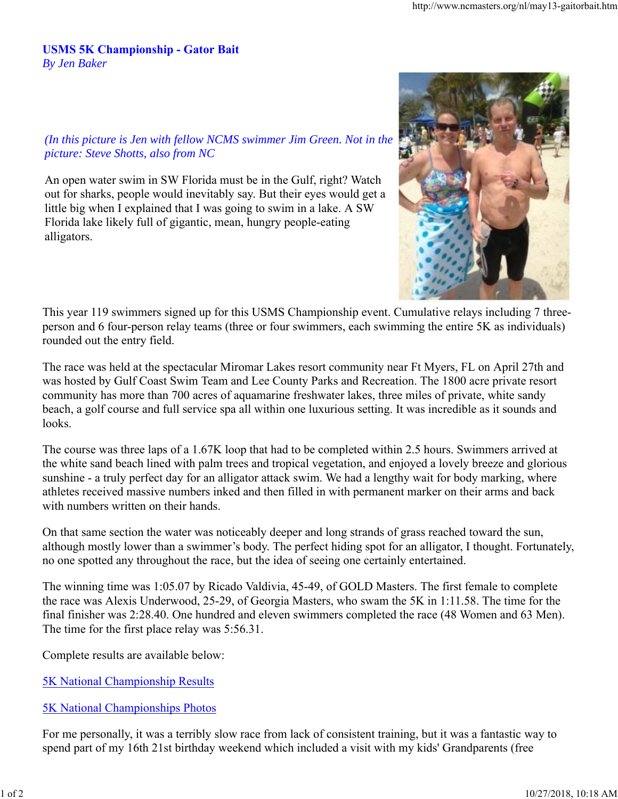## **USMS 5K Championship - Gator Bait** *By Jen Baker*

## *(In this picture is Jen with fellow NCMS swimmer Jim Green. Not in the picture: Steve Shotts, also from NC*

An open water swim in SW Florida must be in the Gulf, right? Watch out for sharks, people would inevitably say. But their eyes would get a little big when I explained that I was going to swim in a lake. A SW Florida lake likely full of gigantic, mean, hungry people-eating alligators.



This year 119 swimmers signed up for this USMS Championship event. Cumulative relays including 7 threeperson and 6 four-person relay teams (three or four swimmers, each swimming the entire 5K as individuals) rounded out the entry field.

The race was held at the spectacular Miromar Lakes resort community near Ft Myers, FL on April 27th and was hosted by Gulf Coast Swim Team and Lee County Parks and Recreation. The 1800 acre private resort community has more than 700 acres of aquamarine freshwater lakes, three miles of private, white sandy beach, a golf course and full service spa all within one luxurious setting. It was incredible as it sounds and looks.

The course was three laps of a 1.67K loop that had to be completed within 2.5 hours. Swimmers arrived at the white sand beach lined with palm trees and tropical vegetation, and enjoyed a lovely breeze and glorious sunshine - a truly perfect day for an alligator attack swim. We had a lengthy wait for body marking, where athletes received massive numbers inked and then filled in with permanent marker on their arms and back with numbers written on their hands.

On that same section the water was noticeably deeper and long strands of grass reached toward the sun, although mostly lower than a swimmer's body. The perfect hiding spot for an alligator, I thought. Fortunately, no one spotted any throughout the race, but the idea of seeing one certainly entertained.

The winning time was 1:05.07 by Ricado Valdivia, 45-49, of GOLD Masters. The first female to complete the race was Alexis Underwood, 25-29, of Georgia Masters, who swam the 5K in 1:11.58. The time for the final finisher was 2:28.40. One hundred and eleven swimmers completed the race (48 Women and 63 Men). The time for the first place relay was 5:56.31.

Complete results are available below:

5K National Championship Results

## 5K National Championships Photos

For me personally, it was a terribly slow race from lack of consistent training, but it was a fantastic way to spend part of my 16th 21st birthday weekend which included a visit with my kids' Grandparents (free